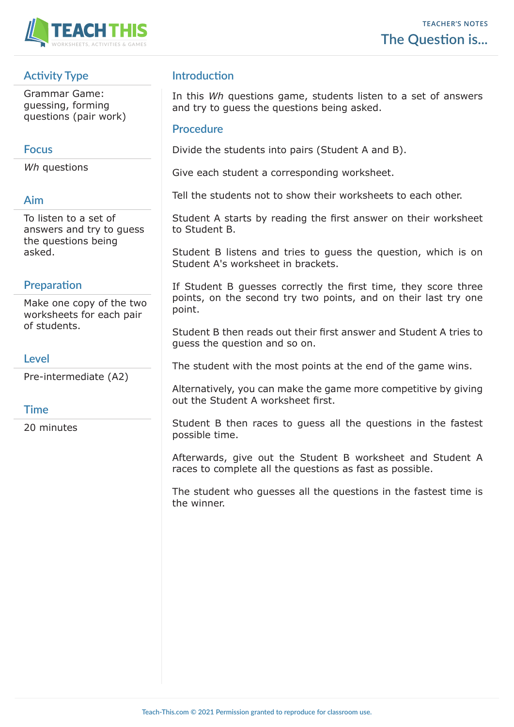

## **Activity Type**

Grammar Game: guessing, forming questions (pair work)

### **Focus**

*Wh* questions

#### **Aim**

To listen to a set of answers and try to guess the questions being asked.

### **Preparation**

Make one copy of the two worksheets for each pair of students.

### **Level**

Pre-intermediate (A2)

### **Time**

20 minutes

### **Introduction**

In this *Wh* questions game, students listen to a set of answers and try to guess the questions being asked.

#### **Procedure**

Divide the students into pairs (Student A and B).

Give each student a corresponding worksheet.

Tell the students not to show their worksheets to each other.

Student A starts by reading the first answer on their worksheet to Student B.

Student B listens and tries to guess the question, which is on Student A's worksheet in brackets.

If Student B guesses correctly the first time, they score three points, on the second try two points, and on their last try one point.

Student B then reads out their first answer and Student A tries to guess the question and so on.

The student with the most points at the end of the game wins.

Alternatively, you can make the game more competitive by giving out the Student A worksheet first.

Student B then races to guess all the questions in the fastest possible time.

Afterwards, give out the Student B worksheet and Student A races to complete all the questions as fast as possible.

The student who guesses all the questions in the fastest time is the winner.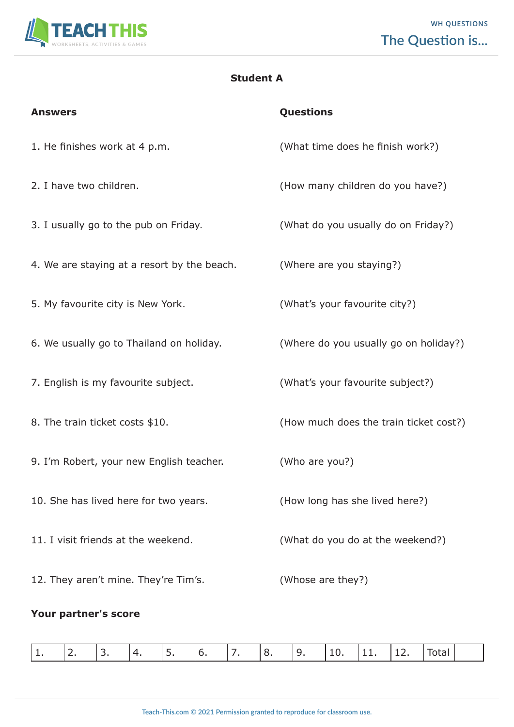

### **Student A**

| <b>Answers</b>                              | Questions                              |
|---------------------------------------------|----------------------------------------|
| 1. He finishes work at 4 p.m.               | (What time does he finish work?)       |
| 2. I have two children.                     | (How many children do you have?)       |
| 3. I usually go to the pub on Friday.       | (What do you usually do on Friday?)    |
| 4. We are staying at a resort by the beach. | (Where are you staying?)               |
| 5. My favourite city is New York.           | (What's your favourite city?)          |
| 6. We usually go to Thailand on holiday.    | (Where do you usually go on holiday?)  |
| 7. English is my favourite subject.         | (What's your favourite subject?)       |
| 8. The train ticket costs \$10.             | (How much does the train ticket cost?) |
| 9. I'm Robert, your new English teacher.    | (Who are you?)                         |
| 10. She has lived here for two years.       | (How long has she lived here?)         |
| 11. I visit friends at the weekend.         | (What do you do at the weekend?)       |
| 12. They aren't mine. They're Tim's.        | (Whose are they?)                      |

# **Your partner's score**

|  |  |  |  |  |  |  |  |  |  |  | ---<br>$  -$ |  |  |
|--|--|--|--|--|--|--|--|--|--|--|--------------|--|--|
|--|--|--|--|--|--|--|--|--|--|--|--------------|--|--|